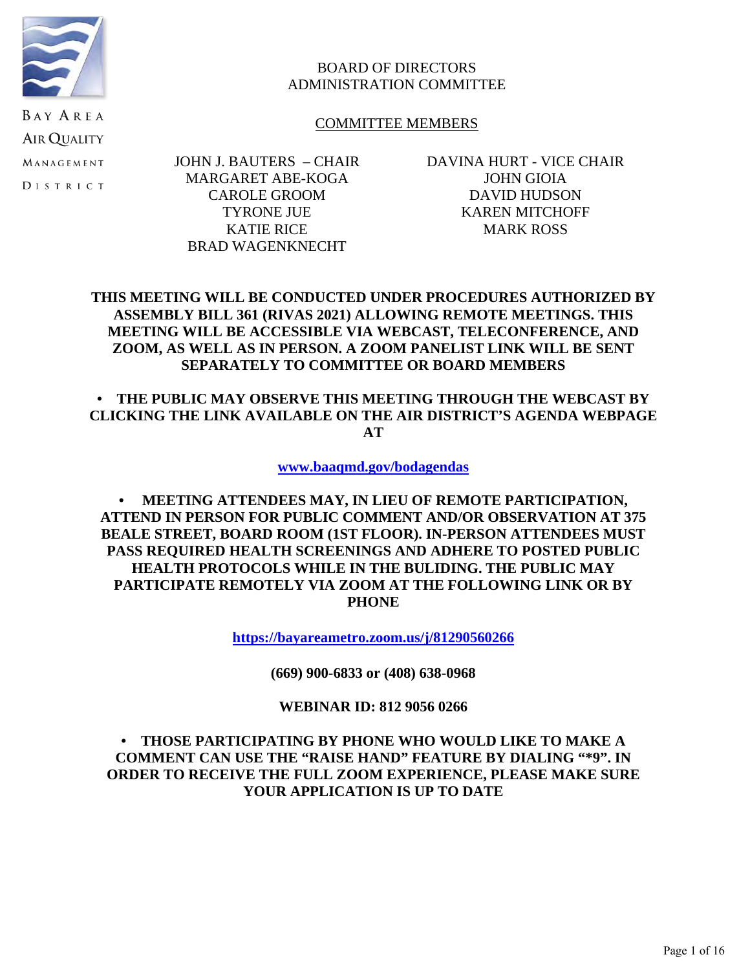

## BOARD OF DIRECTORS ADMINISTRATION COMMITTEE

### COMMITTEE MEMBERS

**BAY AREA AIR QUALITY** MANAGEMENT **DISTRICT** 

JOHN J. BAUTERS – CHAIR MARGARET ABE-KOGA CAROLE GROOM TYRONE JUE KATIE RICE BRAD WAGENKNECHT

DAVINA HURT - VICE CHAIR JOHN GIOIA DAVID HUDSON KAREN MITCHOFF MARK ROSS

## **THIS MEETING WILL BE CONDUCTED UNDER PROCEDURES AUTHORIZED BY ASSEMBLY BILL 361 (RIVAS 2021) ALLOWING REMOTE MEETINGS. THIS MEETING WILL BE ACCESSIBLE VIA WEBCAST, TELECONFERENCE, AND ZOOM, AS WELL AS IN PERSON. A ZOOM PANELIST LINK WILL BE SENT SEPARATELY TO COMMITTEE OR BOARD MEMBERS**

**• THE PUBLIC MAY OBSERVE THIS MEETING THROUGH THE WEBCAST BY CLICKING THE LINK AVAILABLE ON THE AIR DISTRICT'S AGENDA WEBPAGE AT**

**[www.baaqmd.gov/bodagendas](http://www.baaqmd.gov/bodagendas)**

**• MEETING ATTENDEES MAY, IN LIEU OF REMOTE PARTICIPATION, ATTEND IN PERSON FOR PUBLIC COMMENT AND/OR OBSERVATION AT 375 BEALE STREET, BOARD ROOM (1ST FLOOR). IN-PERSON ATTENDEES MUST PASS REQUIRED HEALTH SCREENINGS AND ADHERE TO POSTED PUBLIC HEALTH PROTOCOLS WHILE IN THE BULIDING. THE PUBLIC MAY PARTICIPATE REMOTELY VIA ZOOM AT THE FOLLOWING LINK OR BY PHONE** 

**<https://bayareametro.zoom.us/j/81290560266>**

**(669) 900-6833 or (408) 638-0968**

**WEBINAR ID: 812 9056 0266**

## **• THOSE PARTICIPATING BY PHONE WHO WOULD LIKE TO MAKE A COMMENT CAN USE THE "RAISE HAND" FEATURE BY DIALING "\*9". IN ORDER TO RECEIVE THE FULL ZOOM EXPERIENCE, PLEASE MAKE SURE YOUR APPLICATION IS UP TO DATE**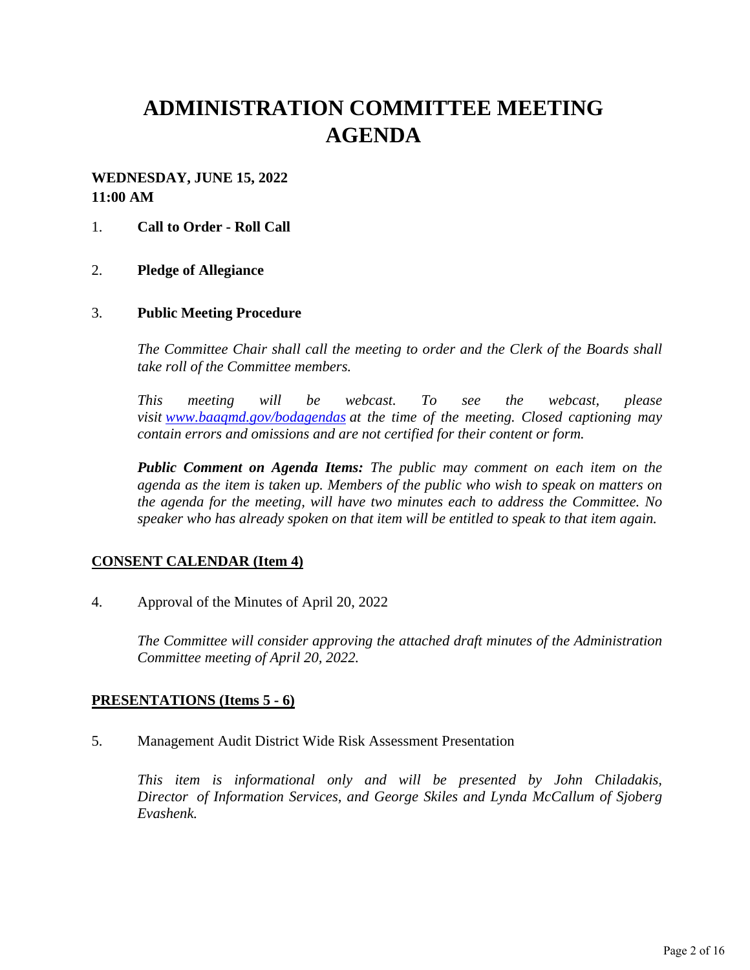# **ADMINISTRATION COMMITTEE MEETING AGENDA**

## **WEDNESDAY, JUNE 15, 2022 11:00 AM**

### 1. **Call to Order - Roll Call**

#### 2. **Pledge of Allegiance**

#### 3. **Public Meeting Procedure**

*The Committee Chair shall call the meeting to order and the Clerk of the Boards shall take roll of the Committee members.* 

*This meeting will be webcast. To see the webcast, please visit [www.baaqmd.gov/bodagendas](https://www.baaqmd.gov/bodagendas) at the time of the meeting. Closed captioning may contain errors and omissions and are not certified for their content or form.* 

*Public Comment on Agenda Items: The public may comment on each item on the agenda as the item is taken up. Members of the public who wish to speak on matters on the agenda for the meeting, will have two minutes each to address the Committee. No speaker who has already spoken on that item will be entitled to speak to that item again.*

#### **CONSENT CALENDAR (Item 4)**

4. Approval of the Minutes of April 20, 2022

*The Committee will consider approving the attached draft minutes of the Administration Committee meeting of April 20, 2022.* 

#### **PRESENTATIONS (Items 5 - 6)**

5. Management Audit District Wide Risk Assessment Presentation

*This item is informational only and will be presented by John Chiladakis, Director of Information Services, and George Skiles and Lynda McCallum of Sjoberg Evashenk.*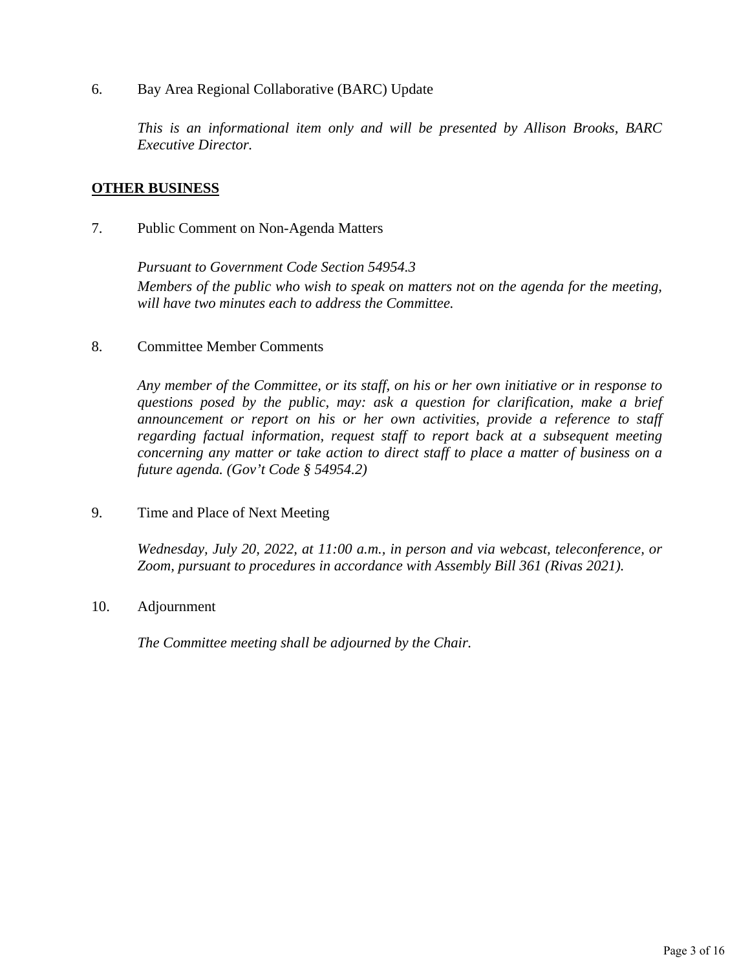### 6. Bay Area Regional Collaborative (BARC) Update

*This is an informational item only and will be presented by Allison Brooks, BARC Executive Director.* 

### **OTHER BUSINESS**

7. Public Comment on Non-Agenda Matters

*Pursuant to Government Code Section 54954.3 Members of the public who wish to speak on matters not on the agenda for the meeting, will have two minutes each to address the Committee.*

8. Committee Member Comments

*Any member of the Committee, or its staff, on his or her own initiative or in response to questions posed by the public, may: ask a question for clarification, make a brief announcement or report on his or her own activities, provide a reference to staff regarding factual information, request staff to report back at a subsequent meeting concerning any matter or take action to direct staff to place a matter of business on a future agenda. (Gov't Code § 54954.2)*

9. Time and Place of Next Meeting

*Wednesday, July 20, 2022, at 11:00 a.m., in person and via webcast, teleconference, or Zoom, pursuant to procedures in accordance with Assembly Bill 361 (Rivas 2021).* 

10. Adjournment

*The Committee meeting shall be adjourned by the Chair.*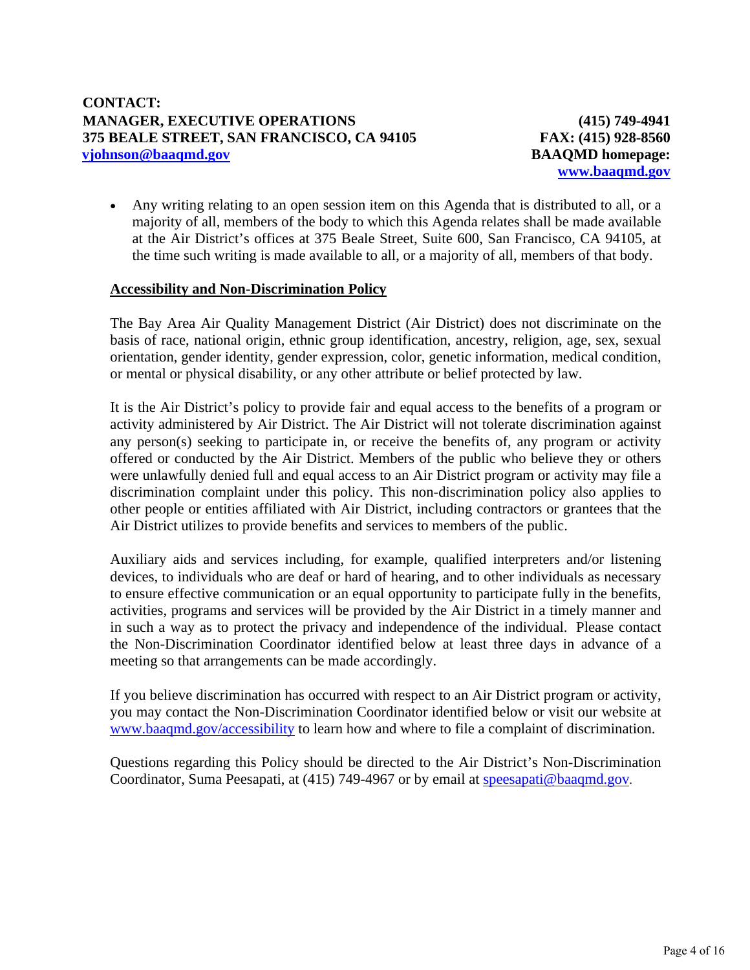**(415) 749-4941 FAX: (415) 928-8560 BAAQMD homepage: [www.baaqmd.gov](http://www.baaqmd.gov/)**

 Any writing relating to an open session item on this Agenda that is distributed to all, or a majority of all, members of the body to which this Agenda relates shall be made available at the Air District's offices at 375 Beale Street, Suite 600, San Francisco, CA 94105, at the time such writing is made available to all, or a majority of all, members of that body.

#### **Accessibility and Non-Discrimination Policy**

The Bay Area Air Quality Management District (Air District) does not discriminate on the basis of race, national origin, ethnic group identification, ancestry, religion, age, sex, sexual orientation, gender identity, gender expression, color, genetic information, medical condition, or mental or physical disability, or any other attribute or belief protected by law.

It is the Air District's policy to provide fair and equal access to the benefits of a program or activity administered by Air District. The Air District will not tolerate discrimination against any person(s) seeking to participate in, or receive the benefits of, any program or activity offered or conducted by the Air District. Members of the public who believe they or others were unlawfully denied full and equal access to an Air District program or activity may file a discrimination complaint under this policy. This non-discrimination policy also applies to other people or entities affiliated with Air District, including contractors or grantees that the Air District utilizes to provide benefits and services to members of the public.

Auxiliary aids and services including, for example, qualified interpreters and/or listening devices, to individuals who are deaf or hard of hearing, and to other individuals as necessary to ensure effective communication or an equal opportunity to participate fully in the benefits, activities, programs and services will be provided by the Air District in a timely manner and in such a way as to protect the privacy and independence of the individual. Please contact the Non-Discrimination Coordinator identified below at least three days in advance of a meeting so that arrangements can be made accordingly.

If you believe discrimination has occurred with respect to an Air District program or activity, you may contact the Non-Discrimination Coordinator identified below or visit our website at [www.baaqmd.gov/accessibility](http://www.baaqmd.gov/accessibility) to learn how and where to file a complaint of discrimination.

Questions regarding this Policy should be directed to the Air District's Non-Discrimination Coordinator, Suma Peesapati, at (415) 749-4967 or by email at [speesapati@baaqmd.gov](mailto:speesapati@baaqmd.gov).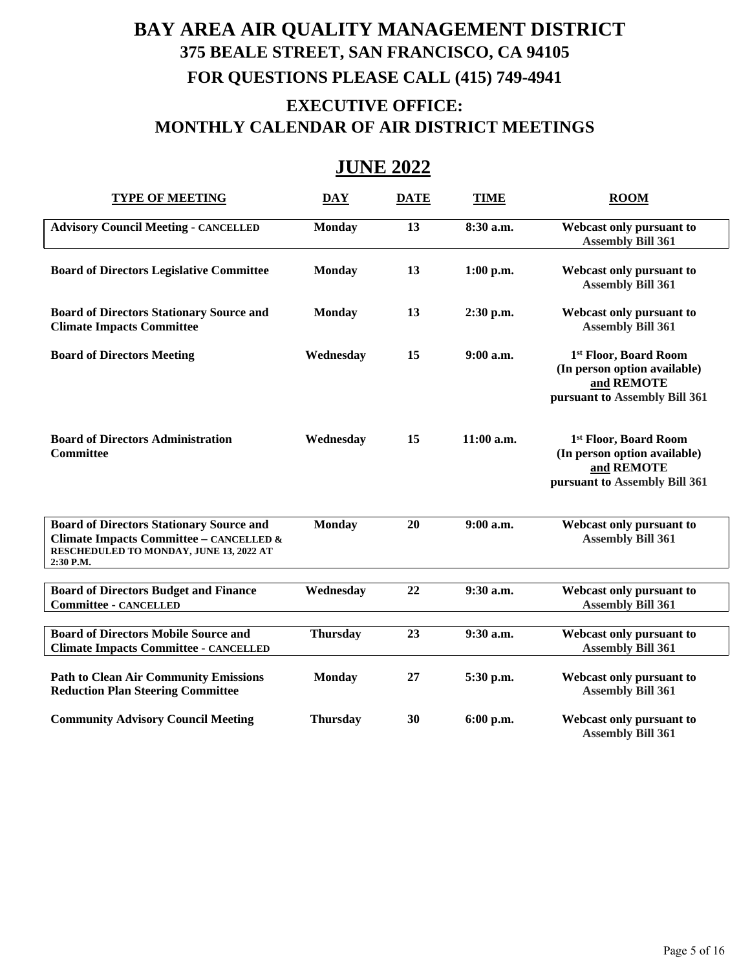# **BAY AREA AIR QUALITY MANAGEMENT DISTRICT 375 BEALE STREET, SAN FRANCISCO, CA 94105 FOR QUESTIONS PLEASE CALL (415) 749-4941 EXECUTIVE OFFICE: MONTHLY CALENDAR OF AIR DISTRICT MEETINGS**

## **JUNE 2022**

| <b>TYPE OF MEETING</b>                                                                                                                             | <b>DAY</b>      | <b>DATE</b> | <b>TIME</b>  | <b>ROOM</b>                                                                                          |
|----------------------------------------------------------------------------------------------------------------------------------------------------|-----------------|-------------|--------------|------------------------------------------------------------------------------------------------------|
| <b>Advisory Council Meeting - CANCELLED</b>                                                                                                        | <b>Monday</b>   | 13          | 8:30 a.m.    | Webcast only pursuant to<br><b>Assembly Bill 361</b>                                                 |
| <b>Board of Directors Legislative Committee</b>                                                                                                    | <b>Monday</b>   | 13          | $1:00$ p.m.  | Webcast only pursuant to<br><b>Assembly Bill 361</b>                                                 |
| <b>Board of Directors Stationary Source and</b><br><b>Climate Impacts Committee</b>                                                                | <b>Monday</b>   | 13          | 2:30 p.m.    | Webcast only pursuant to<br><b>Assembly Bill 361</b>                                                 |
| <b>Board of Directors Meeting</b>                                                                                                                  | Wednesday       | 15          | $9:00$ a.m.  | 1st Floor, Board Room<br>(In person option available)<br>and REMOTE<br>pursuant to Assembly Bill 361 |
| <b>Board of Directors Administration</b><br><b>Committee</b>                                                                                       | Wednesday       | 15          | $11:00$ a.m. | 1st Floor, Board Room<br>(In person option available)<br>and REMOTE<br>pursuant to Assembly Bill 361 |
| <b>Board of Directors Stationary Source and</b><br>Climate Impacts Committee - CANCELLED &<br>RESCHEDULED TO MONDAY, JUNE 13, 2022 AT<br>2:30 P.M. | <b>Monday</b>   | 20          | $9:00$ a.m.  | Webcast only pursuant to<br><b>Assembly Bill 361</b>                                                 |
| <b>Board of Directors Budget and Finance</b><br><b>Committee - CANCELLED</b>                                                                       | Wednesday       | 22          | $9:30$ a.m.  | Webcast only pursuant to<br><b>Assembly Bill 361</b>                                                 |
| <b>Board of Directors Mobile Source and</b><br><b>Climate Impacts Committee - CANCELLED</b>                                                        | <b>Thursday</b> | 23          | 9:30 a.m.    | Webcast only pursuant to<br><b>Assembly Bill 361</b>                                                 |
| <b>Path to Clean Air Community Emissions</b><br><b>Reduction Plan Steering Committee</b>                                                           | <b>Monday</b>   | 27          | 5:30 p.m.    | Webcast only pursuant to<br><b>Assembly Bill 361</b>                                                 |
| <b>Community Advisory Council Meeting</b>                                                                                                          | <b>Thursday</b> | 30          | 6:00 p.m.    | Webcast only pursuant to<br><b>Assembly Bill 361</b>                                                 |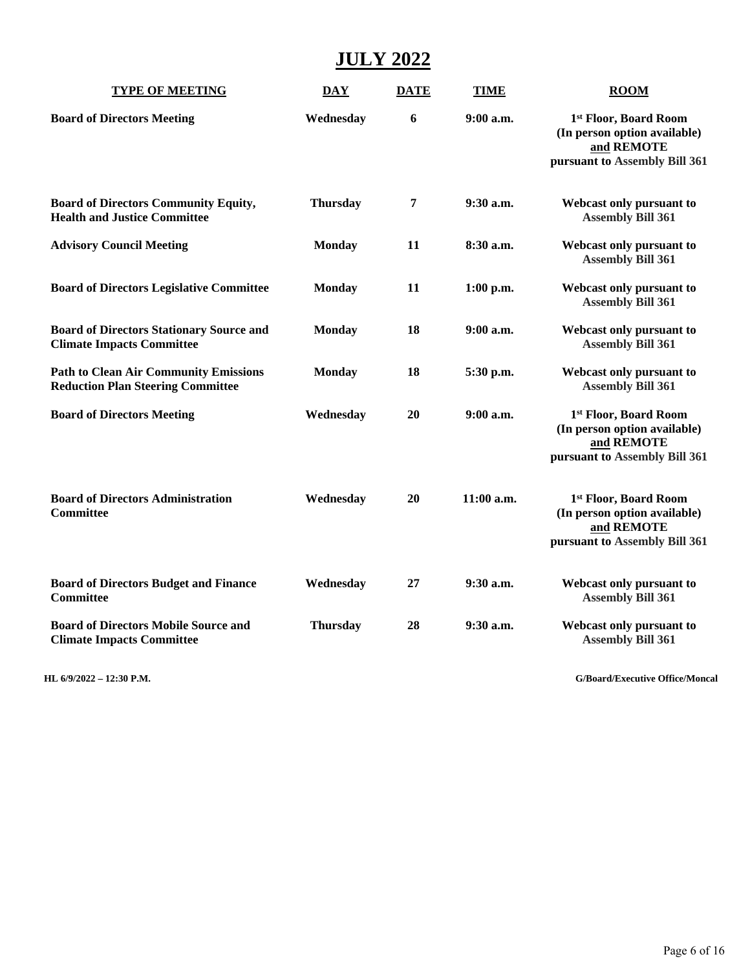# **JULY 2022**

| <b>TYPE OF MEETING</b>                                                                   | <b>DAY</b>      | <b>DATE</b> | <b>TIME</b> | <b>ROOM</b>                                                                                          |
|------------------------------------------------------------------------------------------|-----------------|-------------|-------------|------------------------------------------------------------------------------------------------------|
| <b>Board of Directors Meeting</b>                                                        | Wednesday       | 6           | $9:00$ a.m. | 1st Floor, Board Room<br>(In person option available)<br>and REMOTE<br>pursuant to Assembly Bill 361 |
| <b>Board of Directors Community Equity,</b><br><b>Health and Justice Committee</b>       | <b>Thursday</b> | 7           | $9:30$ a.m. | Webcast only pursuant to<br><b>Assembly Bill 361</b>                                                 |
| <b>Advisory Council Meeting</b>                                                          | <b>Monday</b>   | 11          | 8:30 a.m.   | Webcast only pursuant to<br><b>Assembly Bill 361</b>                                                 |
| <b>Board of Directors Legislative Committee</b>                                          | <b>Monday</b>   | 11          | $1:00$ p.m. | Webcast only pursuant to<br><b>Assembly Bill 361</b>                                                 |
| <b>Board of Directors Stationary Source and</b><br><b>Climate Impacts Committee</b>      | <b>Monday</b>   | 18          | 9:00 a.m.   | Webcast only pursuant to<br><b>Assembly Bill 361</b>                                                 |
| <b>Path to Clean Air Community Emissions</b><br><b>Reduction Plan Steering Committee</b> | <b>Monday</b>   | 18          | 5:30 p.m.   | Webcast only pursuant to<br><b>Assembly Bill 361</b>                                                 |
| <b>Board of Directors Meeting</b>                                                        | Wednesday       | 20          | 9:00 a.m.   | 1st Floor, Board Room<br>(In person option available)<br>and REMOTE<br>pursuant to Assembly Bill 361 |
| <b>Board of Directors Administration</b><br>Committee                                    | Wednesday       | 20          | 11:00 a.m.  | 1st Floor, Board Room<br>(In person option available)<br>and REMOTE<br>pursuant to Assembly Bill 361 |
| <b>Board of Directors Budget and Finance</b><br><b>Committee</b>                         | Wednesday       | 27          | $9:30$ a.m. | Webcast only pursuant to<br><b>Assembly Bill 361</b>                                                 |
| <b>Board of Directors Mobile Source and</b><br><b>Climate Impacts Committee</b>          | <b>Thursday</b> | 28          | 9:30 a.m.   | Webcast only pursuant to<br><b>Assembly Bill 361</b>                                                 |

**HL 6/9/2022 – 12:30 P.M. G/Board/Executive Office/Moncal**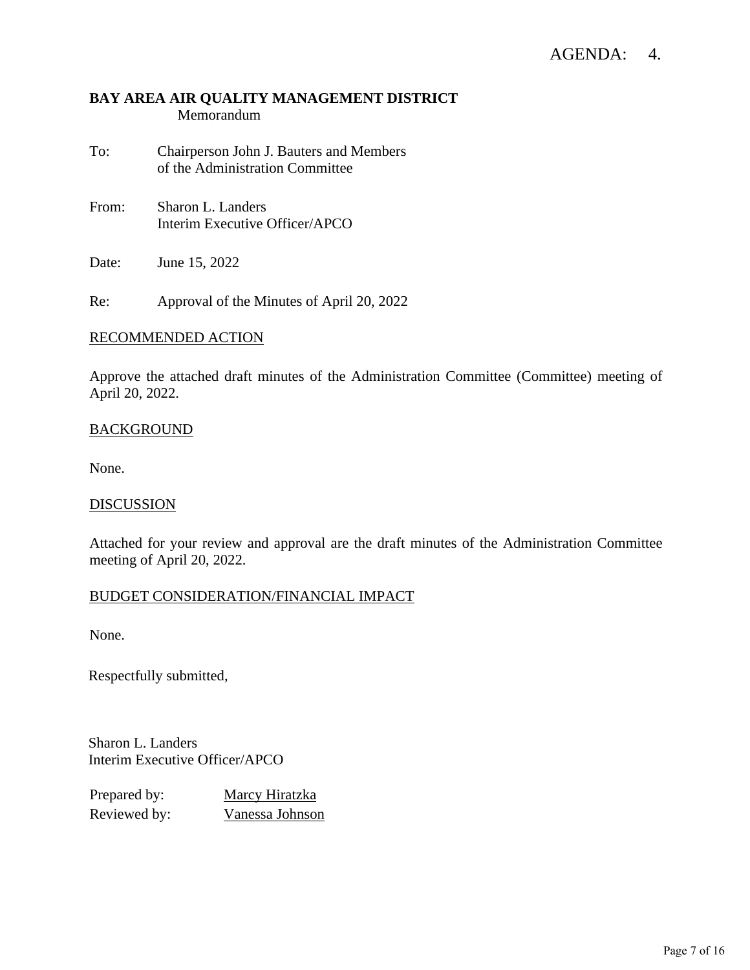## AGENDA: 4.

## **BAY AREA AIR QUALITY MANAGEMENT DISTRICT** Memorandum

- To: Chairperson John J. Bauters and Members of the Administration Committee
- From: Sharon L. Landers Interim Executive Officer/APCO

Date: June 15, 2022

Re: Approval of the Minutes of April 20, 2022

#### RECOMMENDED ACTION

Approve the attached draft minutes of the Administration Committee (Committee) meeting of April 20, 2022.

#### **BACKGROUND**

None.

#### **DISCUSSION**

Attached for your review and approval are the draft minutes of the Administration Committee meeting of April 20, 2022.

#### BUDGET CONSIDERATION/FINANCIAL IMPACT

None.

Respectfully submitted,

Sharon L. Landers Interim Executive Officer/APCO

| Prepared by: | Marcy Hiratzka  |
|--------------|-----------------|
| Reviewed by: | Vanessa Johnson |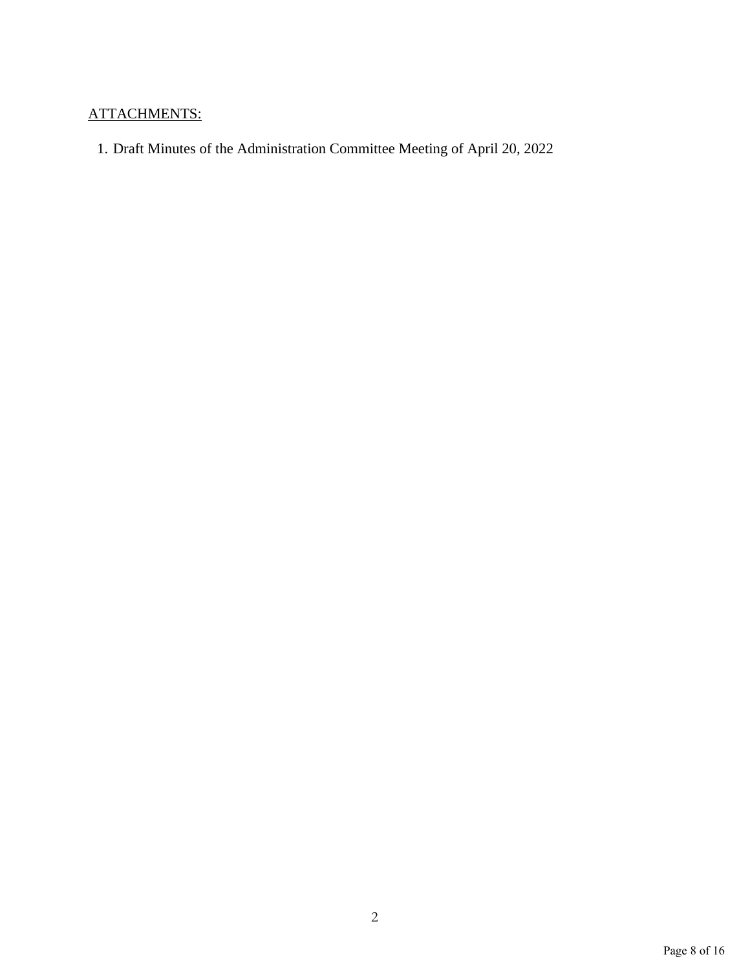## ATTACHMENTS:

1. Draft Minutes of the Administration Committee Meeting of April 20, 2022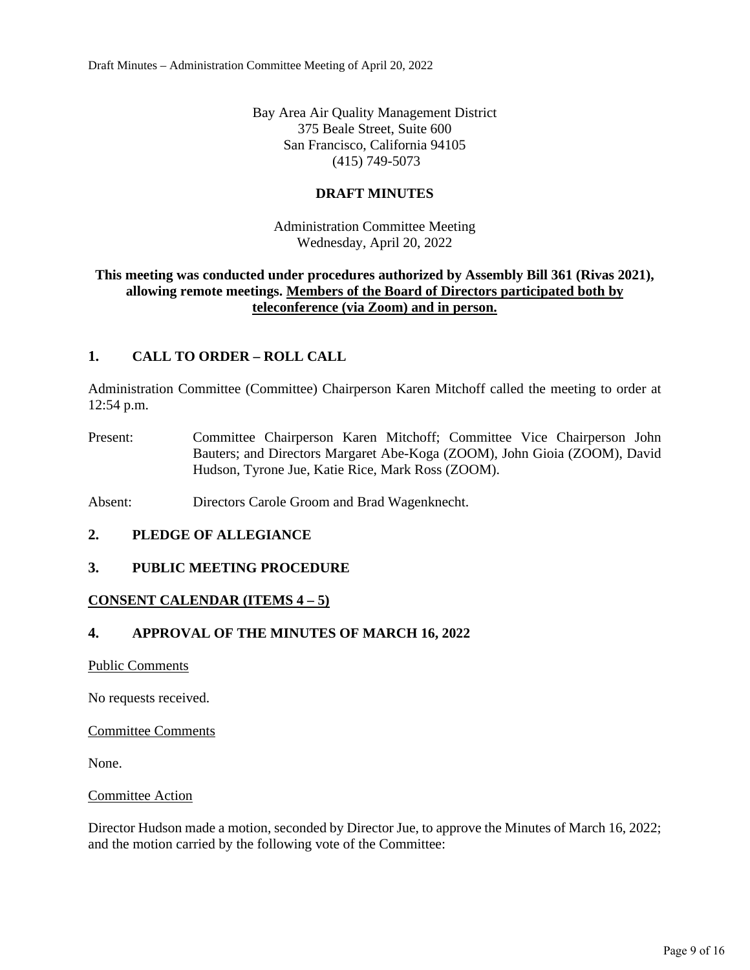Bay Area Air Quality Management District 375 Beale Street, Suite 600 San Francisco, California 94105 (415) 749-5073

## **DRAFT MINUTES**

Administration Committee Meeting Wednesday, April 20, 2022

### **This meeting was conducted under procedures authorized by Assembly Bill 361 (Rivas 2021), allowing remote meetings. Members of the Board of Directors participated both by teleconference (via Zoom) and in person.**

## **1. CALL TO ORDER – ROLL CALL**

Administration Committee (Committee) Chairperson Karen Mitchoff called the meeting to order at 12:54 p.m.

- Present: Committee Chairperson Karen Mitchoff; Committee Vice Chairperson John Bauters; and Directors Margaret Abe-Koga (ZOOM), John Gioia (ZOOM), David Hudson, Tyrone Jue, Katie Rice, Mark Ross (ZOOM).
- Absent: Directors Carole Groom and Brad Wagenknecht.

#### **2. PLEDGE OF ALLEGIANCE**

#### **3. PUBLIC MEETING PROCEDURE**

#### **CONSENT CALENDAR (ITEMS 4 – 5)**

## **4. APPROVAL OF THE MINUTES OF MARCH 16, 2022**

Public Comments

No requests received.

#### Committee Comments

None.

#### Committee Action

Director Hudson made a motion, seconded by Director Jue, to approve the Minutes of March 16, 2022; and the motion carried by the following vote of the Committee: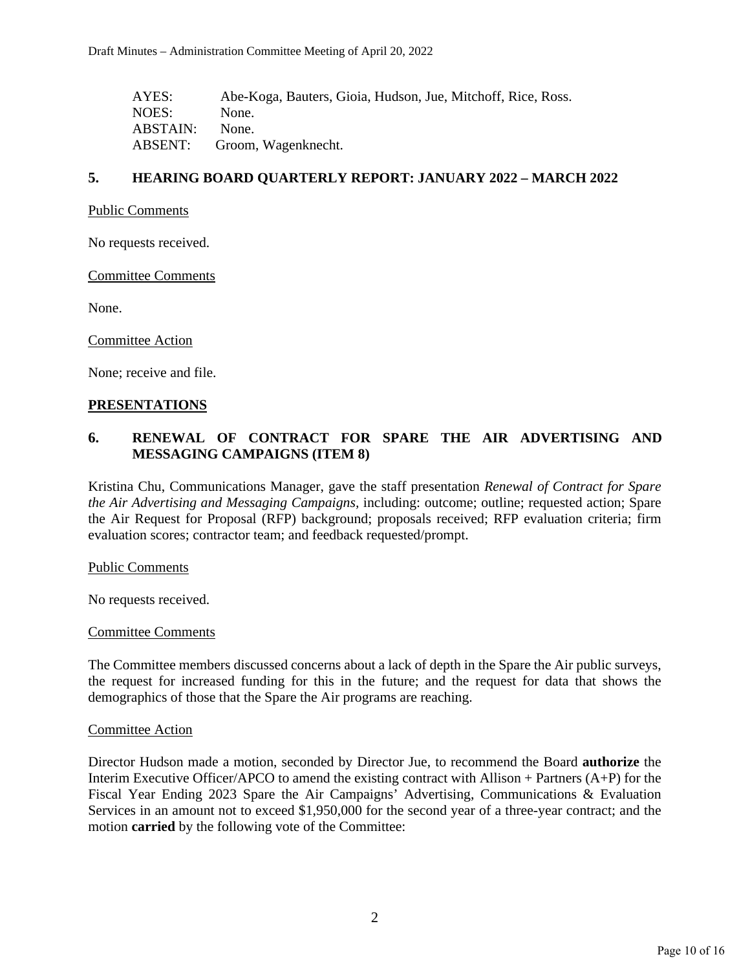| AYES:    | Abe-Koga, Bauters, Gioia, Hudson, Jue, Mitchoff, Rice, Ross. |
|----------|--------------------------------------------------------------|
| NOES:    | None.                                                        |
| ABSTAIN: | None.                                                        |
| ABSENT:  | Groom, Wagenknecht.                                          |

### **5. HEARING BOARD QUARTERLY REPORT: JANUARY 2022 – MARCH 2022**

#### Public Comments

No requests received.

Committee Comments

None.

Committee Action

None; receive and file.

#### **PRESENTATIONS**

## **6. RENEWAL OF CONTRACT FOR SPARE THE AIR ADVERTISING AND MESSAGING CAMPAIGNS (ITEM 8)**

Kristina Chu, Communications Manager, gave the staff presentation *Renewal of Contract for Spare the Air Advertising and Messaging Campaigns,* including: outcome; outline; requested action; Spare the Air Request for Proposal (RFP) background; proposals received; RFP evaluation criteria; firm evaluation scores; contractor team; and feedback requested/prompt.

Public Comments

No requests received.

#### Committee Comments

The Committee members discussed concerns about a lack of depth in the Spare the Air public surveys, the request for increased funding for this in the future; and the request for data that shows the demographics of those that the Spare the Air programs are reaching.

#### Committee Action

Director Hudson made a motion, seconded by Director Jue, to recommend the Board **authorize** the Interim Executive Officer/APCO to amend the existing contract with Allison + Partners (A+P) for the Fiscal Year Ending 2023 Spare the Air Campaigns' Advertising, Communications & Evaluation Services in an amount not to exceed \$1,950,000 for the second year of a three-year contract; and the motion **carried** by the following vote of the Committee: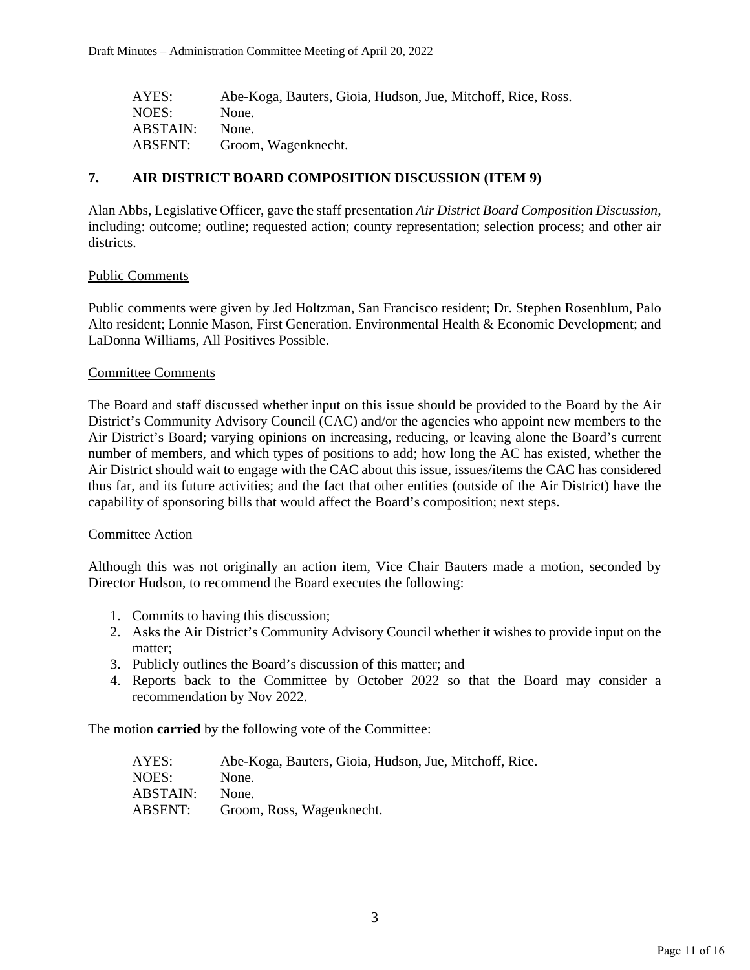| AYES:    | Abe-Koga, Bauters, Gioia, Hudson, Jue, Mitchoff, Rice, Ross. |
|----------|--------------------------------------------------------------|
| NOES:    | None.                                                        |
| ABSTAIN: | None.                                                        |
| ABSENT:  | Groom, Wagenknecht.                                          |

## **7. AIR DISTRICT BOARD COMPOSITION DISCUSSION (ITEM 9)**

Alan Abbs, Legislative Officer, gave the staff presentation *Air District Board Composition Discussion,*  including: outcome; outline; requested action; county representation; selection process; and other air districts.

#### Public Comments

Public comments were given by Jed Holtzman, San Francisco resident; Dr. Stephen Rosenblum, Palo Alto resident; Lonnie Mason, First Generation. Environmental Health & Economic Development; and LaDonna Williams, All Positives Possible.

#### Committee Comments

The Board and staff discussed whether input on this issue should be provided to the Board by the Air District's Community Advisory Council (CAC) and/or the agencies who appoint new members to the Air District's Board; varying opinions on increasing, reducing, or leaving alone the Board's current number of members, and which types of positions to add; how long the AC has existed, whether the Air District should wait to engage with the CAC about this issue, issues/items the CAC has considered thus far, and its future activities; and the fact that other entities (outside of the Air District) have the capability of sponsoring bills that would affect the Board's composition; next steps.

#### Committee Action

Although this was not originally an action item, Vice Chair Bauters made a motion, seconded by Director Hudson, to recommend the Board executes the following:

- 1. Commits to having this discussion;
- 2. Asks the Air District's Community Advisory Council whether it wishes to provide input on the matter;
- 3. Publicly outlines the Board's discussion of this matter; and
- 4. Reports back to the Committee by October 2022 so that the Board may consider a recommendation by Nov 2022.

The motion **carried** by the following vote of the Committee:

| AYES:    | Abe-Koga, Bauters, Gioia, Hudson, Jue, Mitchoff, Rice. |
|----------|--------------------------------------------------------|
| NOES:    | None.                                                  |
| ABSTAIN: | None.                                                  |
| ABSENT:  | Groom, Ross, Wagenknecht.                              |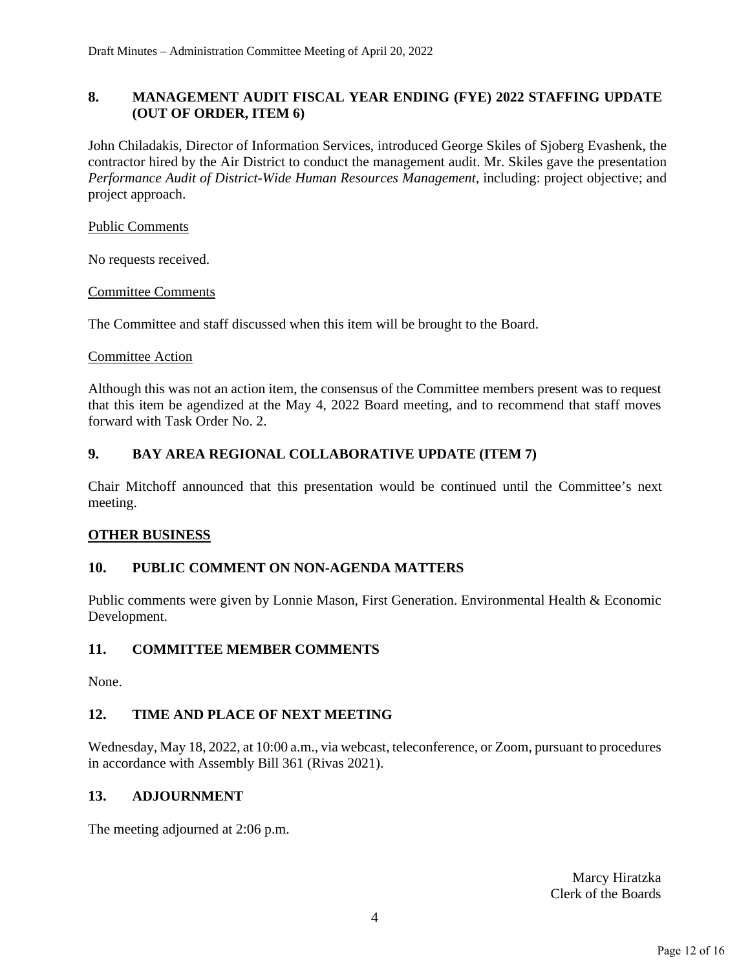## **8. MANAGEMENT AUDIT FISCAL YEAR ENDING (FYE) 2022 STAFFING UPDATE (OUT OF ORDER, ITEM 6)**

John Chiladakis, Director of Information Services, introduced George Skiles of Sjoberg Evashenk, the contractor hired by the Air District to conduct the management audit. Mr. Skiles gave the presentation *Performance Audit of District-Wide Human Resources Management,* including: project objective; and project approach.

Public Comments

No requests received.

Committee Comments

The Committee and staff discussed when this item will be brought to the Board.

## Committee Action

Although this was not an action item, the consensus of the Committee members present was to request that this item be agendized at the May 4, 2022 Board meeting, and to recommend that staff moves forward with Task Order No. 2.

## **9. BAY AREA REGIONAL COLLABORATIVE UPDATE (ITEM 7)**

Chair Mitchoff announced that this presentation would be continued until the Committee's next meeting.

## **OTHER BUSINESS**

## **10. PUBLIC COMMENT ON NON-AGENDA MATTERS**

Public comments were given by Lonnie Mason, First Generation. Environmental Health & Economic Development.

### **11. COMMITTEE MEMBER COMMENTS**

None.

## **12. TIME AND PLACE OF NEXT MEETING**

Wednesday, May 18, 2022, at 10:00 a.m., via webcast, teleconference, or Zoom, pursuant to procedures in accordance with Assembly Bill 361 (Rivas 2021).

## **13. ADJOURNMENT**

The meeting adjourned at 2:06 p.m.

Marcy Hiratzka Clerk of the Boards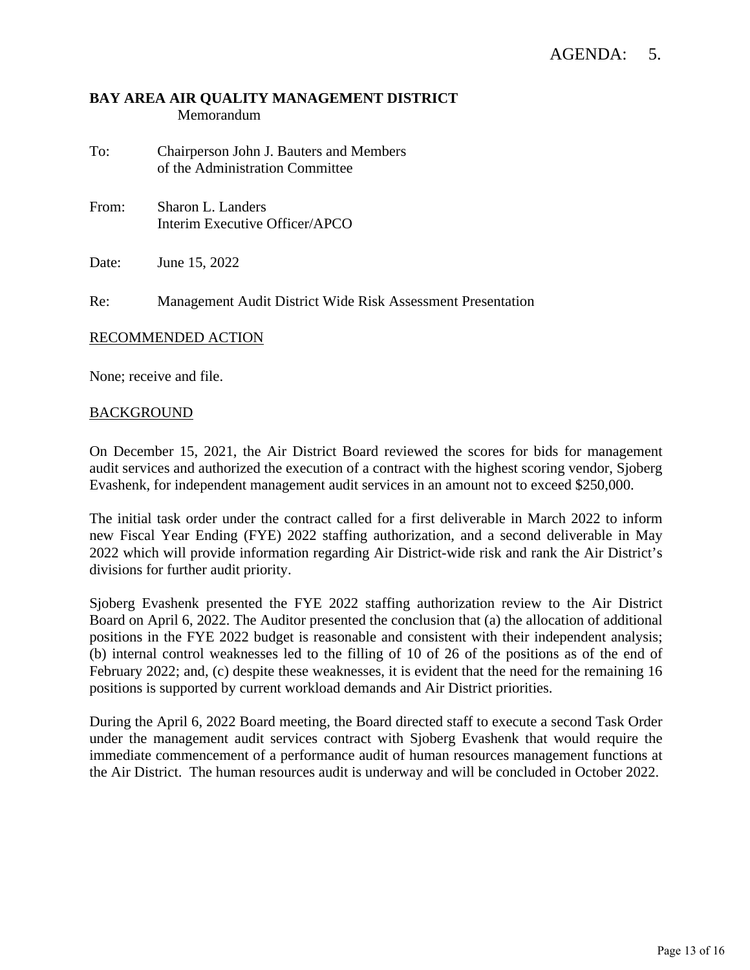## **BAY AREA AIR QUALITY MANAGEMENT DISTRICT** Memorandum

- To: Chairperson John J. Bauters and Members of the Administration Committee
- From: Sharon L. Landers Interim Executive Officer/APCO

Date: June 15, 2022

Re: Management Audit District Wide Risk Assessment Presentation

#### RECOMMENDED ACTION

None; receive and file.

#### BACKGROUND

On December 15, 2021, the Air District Board reviewed the scores for bids for management audit services and authorized the execution of a contract with the highest scoring vendor, Sjoberg Evashenk, for independent management audit services in an amount not to exceed \$250,000.

The initial task order under the contract called for a first deliverable in March 2022 to inform new Fiscal Year Ending (FYE) 2022 staffing authorization, and a second deliverable in May 2022 which will provide information regarding Air District-wide risk and rank the Air District's divisions for further audit priority.

Sjoberg Evashenk presented the FYE 2022 staffing authorization review to the Air District Board on April 6, 2022. The Auditor presented the conclusion that (a) the allocation of additional positions in the FYE 2022 budget is reasonable and consistent with their independent analysis; (b) internal control weaknesses led to the filling of 10 of 26 of the positions as of the end of February 2022; and, (c) despite these weaknesses, it is evident that the need for the remaining 16 positions is supported by current workload demands and Air District priorities.

During the April 6, 2022 Board meeting, the Board directed staff to execute a second Task Order under the management audit services contract with Sjoberg Evashenk that would require the immediate commencement of a performance audit of human resources management functions at the Air District. The human resources audit is underway and will be concluded in October 2022.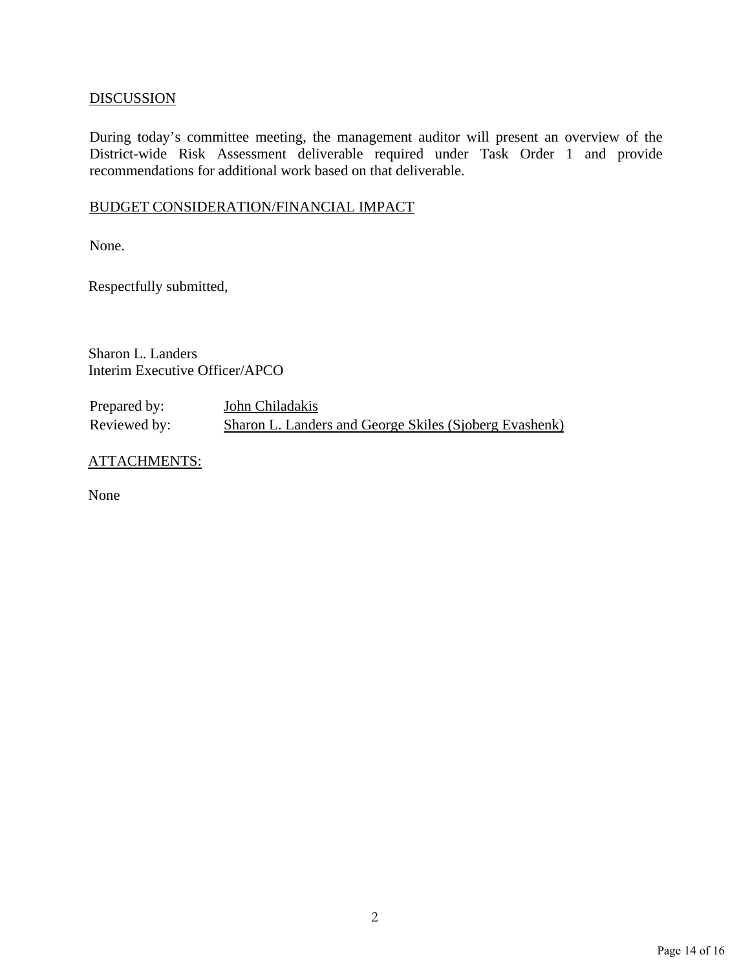## **DISCUSSION**

During today's committee meeting, the management auditor will present an overview of the District-wide Risk Assessment deliverable required under Task Order 1 and provide recommendations for additional work based on that deliverable.

## BUDGET CONSIDERATION/FINANCIAL IMPACT

None.

Respectfully submitted,

Sharon L. Landers Interim Executive Officer/APCO

Prepared by: **John Chiladakis** Reviewed by: Sharon L. Landers and George Skiles (Sjoberg Evashenk)

ATTACHMENTS:

None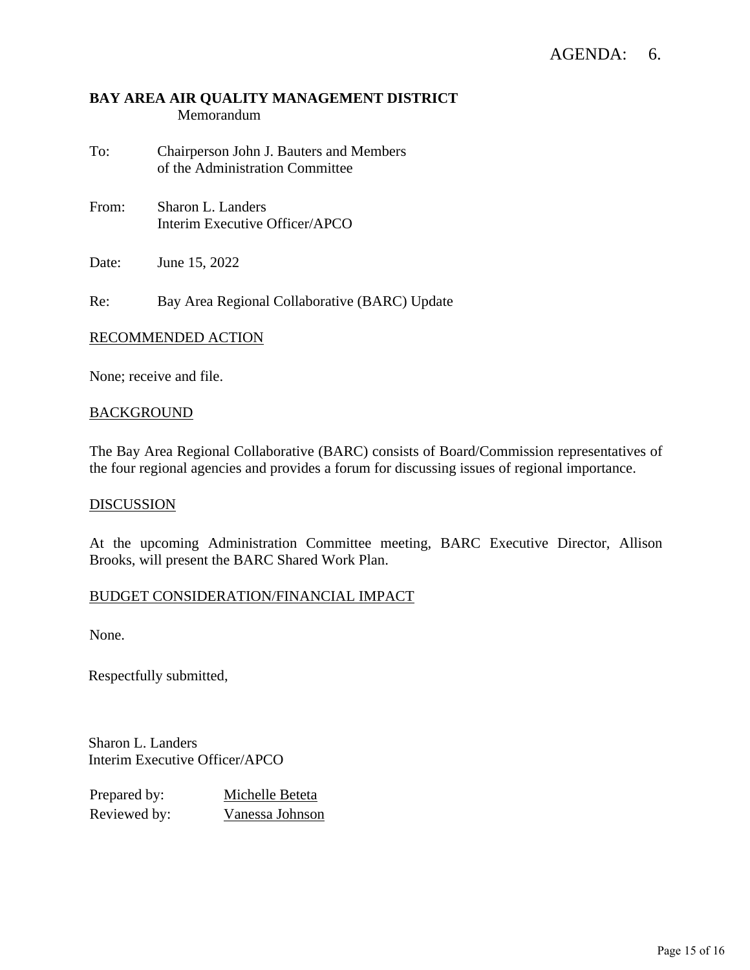## AGENDA: 6.

## **BAY AREA AIR QUALITY MANAGEMENT DISTRICT** Memorandum

- To: Chairperson John J. Bauters and Members of the Administration Committee
- From: Sharon L. Landers Interim Executive Officer/APCO

Date: June 15, 2022

Re: Bay Area Regional Collaborative (BARC) Update

#### RECOMMENDED ACTION

None; receive and file.

#### **BACKGROUND**

The Bay Area Regional Collaborative (BARC) consists of Board/Commission representatives of the four regional agencies and provides a forum for discussing issues of regional importance.

#### **DISCUSSION**

At the upcoming Administration Committee meeting, BARC Executive Director, Allison Brooks, will present the BARC Shared Work Plan.

#### BUDGET CONSIDERATION/FINANCIAL IMPACT

None.

Respectfully submitted,

Sharon L. Landers Interim Executive Officer/APCO

| Prepared by: | Michelle Beteta |
|--------------|-----------------|
| Reviewed by: | Vanessa Johnson |